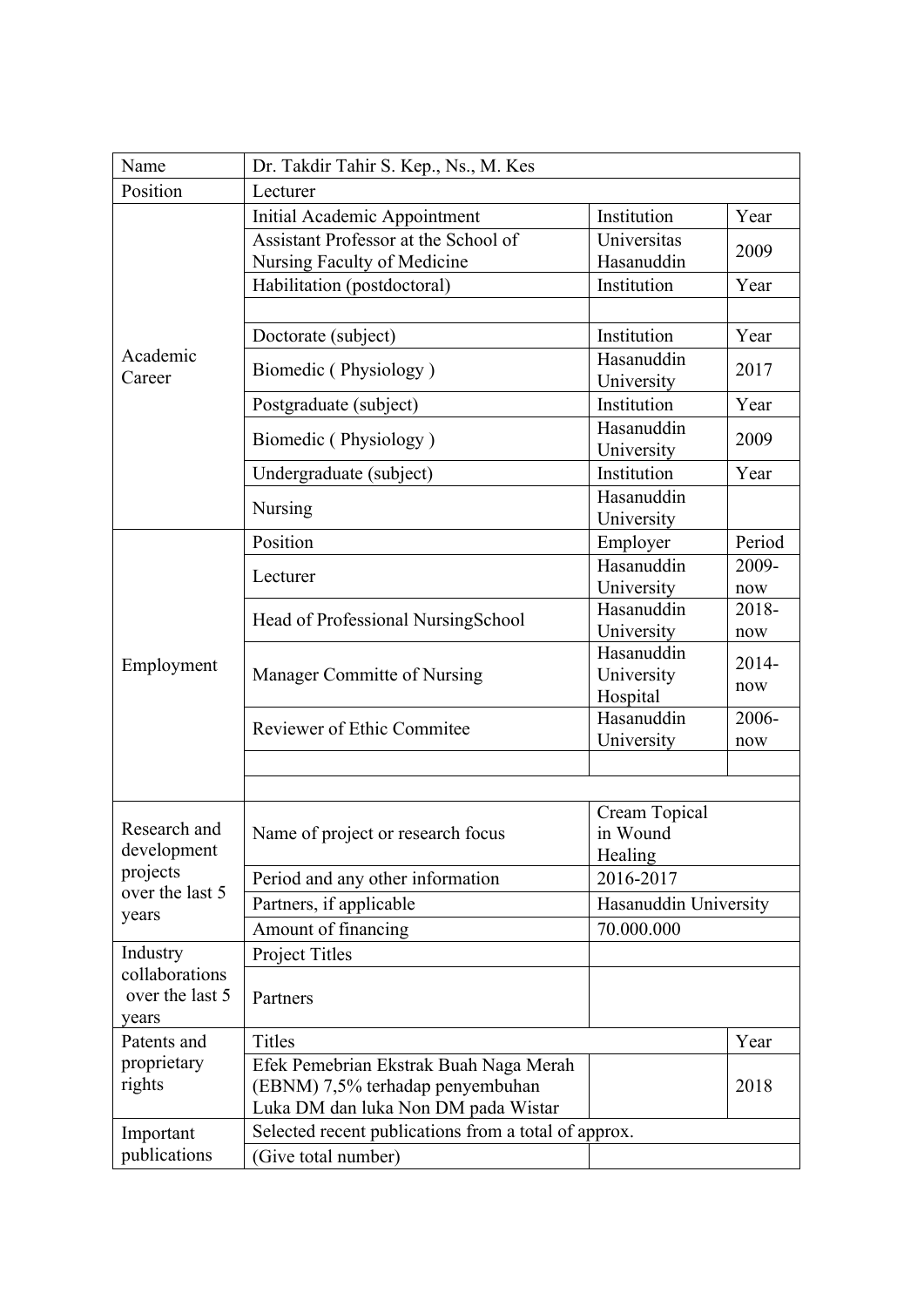| Name                                                                | Dr. Takdir Tahir S. Kep., Ns., M. Kes                |                          |          |  |
|---------------------------------------------------------------------|------------------------------------------------------|--------------------------|----------|--|
| Position                                                            | Lecturer                                             |                          |          |  |
| Academic<br>Career                                                  | Initial Academic Appointment                         | Institution              | Year     |  |
|                                                                     | Assistant Professor at the School of                 | Universitas              | 2009     |  |
|                                                                     | Nursing Faculty of Medicine                          | Hasanuddin               |          |  |
|                                                                     | Habilitation (postdoctoral)                          | Institution              | Year     |  |
|                                                                     |                                                      |                          |          |  |
|                                                                     | Doctorate (subject)                                  | Institution              | Year     |  |
|                                                                     | Biomedic (Physiology)                                | Hasanuddin               | 2017     |  |
|                                                                     |                                                      | University               |          |  |
|                                                                     | Postgraduate (subject)                               | Institution              | Year     |  |
|                                                                     | Biomedic (Physiology)                                | Hasanuddin               | 2009     |  |
|                                                                     |                                                      | University               |          |  |
|                                                                     | Undergraduate (subject)                              | Institution              | Year     |  |
|                                                                     | Nursing                                              | Hasanuddin               |          |  |
|                                                                     |                                                      | University               |          |  |
|                                                                     | Position                                             | Employer                 | Period   |  |
|                                                                     | Lecturer                                             | Hasanuddin               | 2009-    |  |
|                                                                     |                                                      | University               | now      |  |
|                                                                     | Head of Professional NursingSchool                   | Hasanuddin               | 2018-    |  |
|                                                                     |                                                      | University<br>Hasanuddin | now      |  |
| Employment                                                          | Manager Committe of Nursing                          | University               | $2014 -$ |  |
|                                                                     |                                                      | Hospital                 | now      |  |
|                                                                     | <b>Reviewer of Ethic Commitee</b>                    | Hasanuddin               | 2006-    |  |
|                                                                     |                                                      | University               | now      |  |
|                                                                     |                                                      |                          |          |  |
|                                                                     |                                                      |                          |          |  |
| Research and<br>development<br>projects<br>over the last 5<br>years |                                                      | Cream Topical            |          |  |
|                                                                     | Name of project or research focus                    | in Wound                 |          |  |
|                                                                     |                                                      | Healing                  |          |  |
|                                                                     | Period and any other information                     | 2016-2017                |          |  |
|                                                                     | Partners, if applicable                              | Hasanuddin University    |          |  |
|                                                                     | Amount of financing                                  | 70.000.000               |          |  |
| Industry<br>collaborations<br>over the last 5                       | Project Titles                                       |                          |          |  |
|                                                                     |                                                      |                          |          |  |
|                                                                     | Partners                                             |                          |          |  |
| years                                                               |                                                      |                          |          |  |
| Patents and<br>proprietary<br>rights                                | Titles                                               |                          | Year     |  |
|                                                                     | Efek Pemebrian Ekstrak Buah Naga Merah               |                          | 2018     |  |
|                                                                     | (EBNM) 7,5% terhadap penyembuhan                     |                          |          |  |
|                                                                     | Luka DM dan luka Non DM pada Wistar                  |                          |          |  |
| Important                                                           | Selected recent publications from a total of approx. |                          |          |  |
| publications                                                        | (Give total number)                                  |                          |          |  |